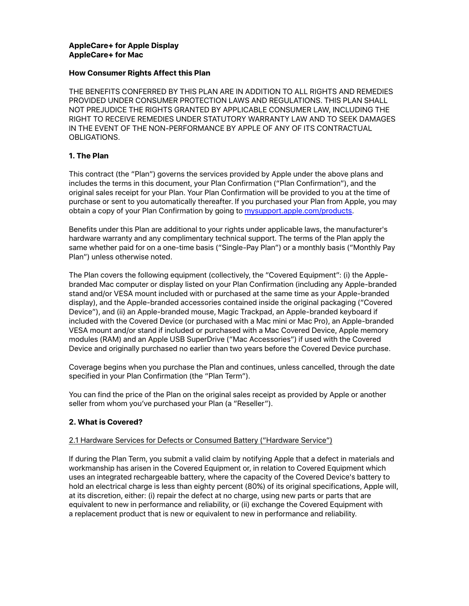# **AppleCare+ for Apple Display AppleCare+ for Mac**

## **How Consumer Rights Affect this Plan**

THE BENEFITS CONFERRED BY THIS PLAN ARE IN ADDITION TO ALL RIGHTS AND REMEDIES PROVIDED UNDER CONSUMER PROTECTION LAWS AND REGULATIONS. THIS PLAN SHALL NOT PREJUDICE THE RIGHTS GRANTED BY APPLICABLE CONSUMER LAW, INCLUDING THE RIGHT TO RECEIVE REMEDIES UNDER STATUTORY WARRANTY LAW AND TO SEEK DAMAGES IN THE EVENT OF THE NON-PERFORMANCE BY APPLE OF ANY OF ITS CONTRACTUAL OBLIGATIONS.

# **1. The Plan**

This contract (the "Plan") governs the services provided by Apple under the above plans and includes the terms in this document, your Plan Confirmation ("Plan Confirmation"), and the original sales receipt for your Plan. Your Plan Confirmation will be provided to you at the time of purchase or sent to you automatically thereafter. If you purchased your Plan from Apple, you may obtain a copy of your Plan Confirmation by going to **mysupport.apple.com/products**.

Benefits under this Plan are additional to your rights under applicable laws, the manufacturer's hardware warranty and any complimentary technical support. The terms of the Plan apply the same whether paid for on a one-time basis ("Single-Pay Plan") or a monthly basis ("Monthly Pay Plan") unless otherwise noted.

The Plan covers the following equipment (collectively, the "Covered Equipment": (i) the Applebranded Mac computer or display listed on your Plan Confirmation (including any Apple-branded stand and/or VESA mount included with or purchased at the same time as your Apple-branded display), and the Apple-branded accessories contained inside the original packaging ("Covered Device"), and (ii) an Apple-branded mouse, Magic Trackpad, an Apple-branded keyboard if included with the Covered Device (or purchased with a Mac mini or Mac Pro), an Apple-branded VESA mount and/or stand if included or purchased with a Mac Covered Device, Apple memory modules (RAM) and an Apple USB SuperDrive ("Mac Accessories") if used with the Covered Device and originally purchased no earlier than two years before the Covered Device purchase.

Coverage begins when you purchase the Plan and continues, unless cancelled, through the date specified in your Plan Confirmation (the "Plan Term").

You can find the price of the Plan on the original sales receipt as provided by Apple or another seller from whom you've purchased your Plan (a "Reseller").

### **2. What is Covered?**

### 2.1 Hardware Services for Defects or Consumed Battery ("Hardware Service")

If during the Plan Term, you submit a valid claim by notifying Apple that a defect in materials and workmanship has arisen in the Covered Equipment or, in relation to Covered Equipment which uses an integrated rechargeable battery, where the capacity of the Covered Device's battery to hold an electrical charge is less than eighty percent (80%) of its original specifications, Apple will, at its discretion, either: (i) repair the defect at no charge, using new parts or parts that are equivalent to new in performance and reliability, or (ii) exchange the Covered Equipment with a replacement product that is new or equivalent to new in performance and reliability.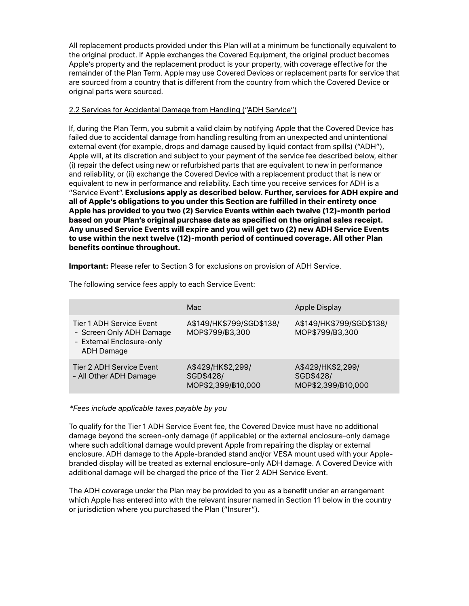All replacement products provided under this Plan will at a minimum be functionally equivalent to the original product. If Apple exchanges the Covered Equipment, the original product becomes Apple's property and the replacement product is your property, with coverage effective for the remainder of the Plan Term. Apple may use Covered Devices or replacement parts for service that are sourced from a country that is different from the country from which the Covered Device or original parts were sourced.

# 2.2 Services for Accidental Damage from Handling ("ADH Service")

If, during the Plan Term, you submit a valid claim by notifying Apple that the Covered Device has failed due to accidental damage from handling resulting from an unexpected and unintentional external event (for example, drops and damage caused by liquid contact from spills) ("ADH"), Apple will, at its discretion and subject to your payment of the service fee described below, either (i) repair the defect using new or refurbished parts that are equivalent to new in performance and reliability, or (ii) exchange the Covered Device with a replacement product that is new or equivalent to new in performance and reliability. Each time you receive services for ADH is a "Service Event". **Exclusions apply as described below. Further, services for ADH expire and all of Apple's obligations to you under this Section are fulfilled in their entirety once Apple has provided to you two (2) Service Events within each twelve (12)-month period based on your Plan's original purchase date as specified on the original sales receipt. Any unused Service Events will expire and you will get two (2) new ADH Service Events to use within the next twelve (12)-month period of continued coverage. All other Plan benefits continue throughout.**

**Important:** Please refer to Section 3 for exclusions on provision of ADH Service.

|                                                                                                        | Mac.                                                 | Apple Display                                        |
|--------------------------------------------------------------------------------------------------------|------------------------------------------------------|------------------------------------------------------|
| Tier 1 ADH Service Event<br>- Screen Only ADH Damage<br>- External Enclosure-only<br><b>ADH Damage</b> | A\$149/HK\$799/SGD\$138/<br>MOP\$799/B3,300          | A\$149/HK\$799/SGD\$138/<br>MOP\$799/B3,300          |
| Tier 2 ADH Service Event<br>- All Other ADH Damage                                                     | A\$429/HK\$2,299/<br>SGD\$428/<br>MOP\$2,399/B10,000 | A\$429/HK\$2,299/<br>SGD\$428/<br>MOP\$2,399/B10,000 |

The following service fees apply to each Service Event:

### *\*Fees include applicable taxes payable by you*

To qualify for the Tier 1 ADH Service Event fee, the Covered Device must have no additional damage beyond the screen-only damage (if applicable) or the external enclosure-only damage where such additional damage would prevent Apple from repairing the display or external enclosure. ADH damage to the Apple-branded stand and/or VESA mount used with your Applebranded display will be treated as external enclosure-only ADH damage. A Covered Device with additional damage will be charged the price of the Tier 2 ADH Service Event.

The ADH coverage under the Plan may be provided to you as a benefit under an arrangement which Apple has entered into with the relevant insurer named in Section 11 below in the country or jurisdiction where you purchased the Plan ("Insurer").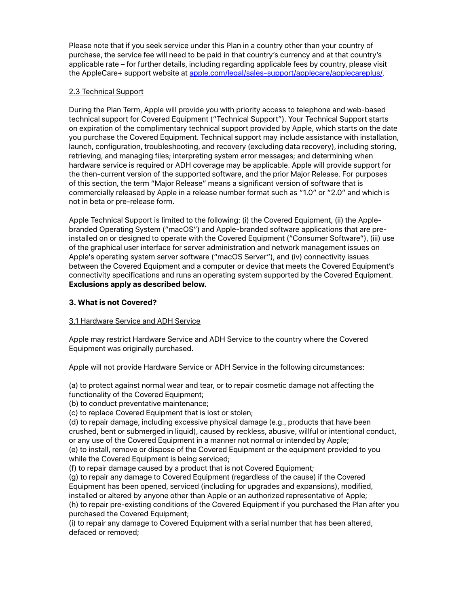Please note that if you seek service under this Plan in a country other than your country of purchase, the service fee will need to be paid in that country's currency and at that country's applicable rate – for further details, including regarding applicable fees by country, please visit the AppleCare+ support website at [apple.com/legal/sales-support/applecare/applecareplus/.](http://www.apple.com/legal/sales-support/applecare/applecareplus/)

# 2.3 Technical Support

During the Plan Term, Apple will provide you with priority access to telephone and web-based technical support for Covered Equipment ("Technical Support"). Your Technical Support starts on expiration of the complimentary technical support provided by Apple, which starts on the date you purchase the Covered Equipment. Technical support may include assistance with installation, launch, configuration, troubleshooting, and recovery (excluding data recovery), including storing, retrieving, and managing files; interpreting system error messages; and determining when hardware service is required or ADH coverage may be applicable. Apple will provide support for the then-current version of the supported software, and the prior Major Release. For purposes of this section, the term "Major Release" means a significant version of software that is commercially released by Apple in a release number format such as "1.0" or "2.0" and which is not in beta or pre-release form.

Apple Technical Support is limited to the following: (i) the Covered Equipment, (ii) the Applebranded Operating System ("macOS") and Apple-branded software applications that are preinstalled on or designed to operate with the Covered Equipment ("Consumer Software"), (iii) use of the graphical user interface for server administration and network management issues on Apple's operating system server software ("macOS Server"), and (iv) connectivity issues between the Covered Equipment and a computer or device that meets the Covered Equipment's connectivity specifications and runs an operating system supported by the Covered Equipment. **Exclusions apply as described below.**

# **3. What is not Covered?**

# 3.1 Hardware Service and ADH Service

Apple may restrict Hardware Service and ADH Service to the country where the Covered Equipment was originally purchased.

Apple will not provide Hardware Service or ADH Service in the following circumstances:

(a) to protect against normal wear and tear, or to repair cosmetic damage not affecting the functionality of the Covered Equipment;

(b) to conduct preventative maintenance;

(c) to replace Covered Equipment that is lost or stolen;

(d) to repair damage, including excessive physical damage (e.g., products that have been crushed, bent or submerged in liquid), caused by reckless, abusive, willful or intentional conduct, or any use of the Covered Equipment in a manner not normal or intended by Apple;

(e) to install, remove or dispose of the Covered Equipment or the equipment provided to you while the Covered Equipment is being serviced;

(f) to repair damage caused by a product that is not Covered Equipment;

(g) to repair any damage to Covered Equipment (regardless of the cause) if the Covered

Equipment has been opened, serviced (including for upgrades and expansions), modified,

installed or altered by anyone other than Apple or an authorized representative of Apple; (h) to repair pre-existing conditions of the Covered Equipment if you purchased the Plan after you purchased the Covered Equipment;

(i) to repair any damage to Covered Equipment with a serial number that has been altered, defaced or removed;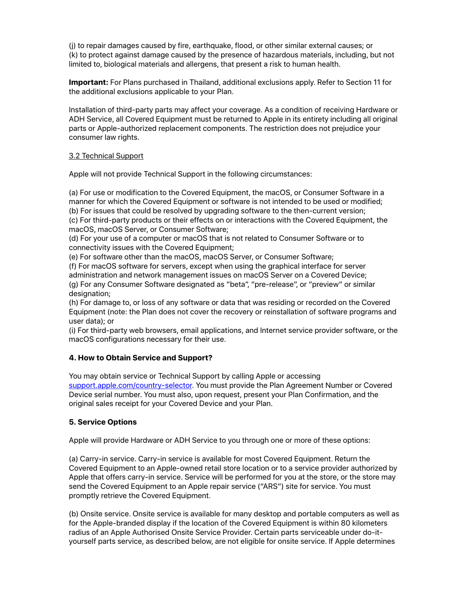(j) to repair damages caused by fire, earthquake, flood, or other similar external causes; or (k) to protect against damage caused by the presence of hazardous materials, including, but not limited to, biological materials and allergens, that present a risk to human health.

**Important:** For Plans purchased in Thailand, additional exclusions apply. Refer to Section 11 for the additional exclusions applicable to your Plan.

Installation of third-party parts may affect your coverage. As a condition of receiving Hardware or ADH Service, all Covered Equipment must be returned to Apple in its entirety including all original parts or Apple-authorized replacement components. The restriction does not prejudice your consumer law rights.

## 3.2 Technical Support

Apple will not provide Technical Support in the following circumstances:

(a) For use or modification to the Covered Equipment, the macOS, or Consumer Software in a manner for which the Covered Equipment or software is not intended to be used or modified; (b) For issues that could be resolved by upgrading software to the then-current version;

(c) For third-party products or their effects on or interactions with the Covered Equipment, the macOS, macOS Server, or Consumer Software;

(d) For your use of a computer or macOS that is not related to Consumer Software or to connectivity issues with the Covered Equipment;

(e) For software other than the macOS, macOS Server, or Consumer Software;

(f) For macOS software for servers, except when using the graphical interface for server

administration and network management issues on macOS Server on a Covered Device; (g) For any Consumer Software designated as "beta", "pre-release", or "preview" or similar designation;

(h) For damage to, or loss of any software or data that was residing or recorded on the Covered Equipment (note: the Plan does not cover the recovery or reinstallation of software programs and user data); or

(i) For third-party web browsers, email applications, and Internet service provider software, or the macOS configurations necessary for their use.

# **4. How to Obtain Service and Support?**

You may obtain service or Technical Support by calling Apple or accessing [support.apple.com/country-selector.](http://support.apple.com/country-selector) You must provide the Plan Agreement Number or Covered Device serial number. You must also, upon request, present your Plan Confirmation, and the original sales receipt for your Covered Device and your Plan.

# **5. Service Options**

Apple will provide Hardware or ADH Service to you through one or more of these options:

(a) Carry-in service. Carry-in service is available for most Covered Equipment. Return the Covered Equipment to an Apple-owned retail store location or to a service provider authorized by Apple that offers carry-in service. Service will be performed for you at the store, or the store may send the Covered Equipment to an Apple repair service ("ARS") site for service. You must promptly retrieve the Covered Equipment.

(b) Onsite service. Onsite service is available for many desktop and portable computers as well as for the Apple-branded display if the location of the Covered Equipment is within 80 kilometers radius of an Apple Authorised Onsite Service Provider. Certain parts serviceable under do-ityourself parts service, as described below, are not eligible for onsite service. If Apple determines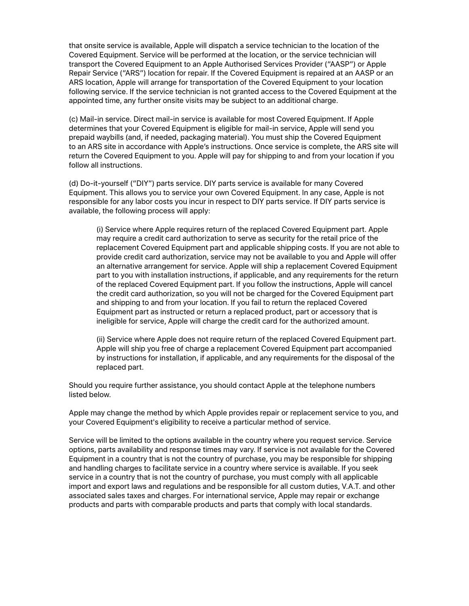that onsite service is available, Apple will dispatch a service technician to the location of the Covered Equipment. Service will be performed at the location, or the service technician will transport the Covered Equipment to an Apple Authorised Services Provider ("AASP") or Apple Repair Service ("ARS") location for repair. If the Covered Equipment is repaired at an AASP or an ARS location, Apple will arrange for transportation of the Covered Equipment to your location following service. If the service technician is not granted access to the Covered Equipment at the appointed time, any further onsite visits may be subject to an additional charge.

(c) Mail-in service. Direct mail-in service is available for most Covered Equipment. If Apple determines that your Covered Equipment is eligible for mail-in service, Apple will send you prepaid waybills (and, if needed, packaging material). You must ship the Covered Equipment to an ARS site in accordance with Apple's instructions. Once service is complete, the ARS site will return the Covered Equipment to you. Apple will pay for shipping to and from your location if you follow all instructions.

(d) Do-it-yourself ("DIY") parts service. DIY parts service is available for many Covered Equipment. This allows you to service your own Covered Equipment. In any case, Apple is not responsible for any labor costs you incur in respect to DIY parts service. If DIY parts service is available, the following process will apply:

(i) Service where Apple requires return of the replaced Covered Equipment part. Apple may require a credit card authorization to serve as security for the retail price of the replacement Covered Equipment part and applicable shipping costs. If you are not able to provide credit card authorization, service may not be available to you and Apple will offer an alternative arrangement for service. Apple will ship a replacement Covered Equipment part to you with installation instructions, if applicable, and any requirements for the return of the replaced Covered Equipment part. If you follow the instructions, Apple will cancel the credit card authorization, so you will not be charged for the Covered Equipment part and shipping to and from your location. If you fail to return the replaced Covered Equipment part as instructed or return a replaced product, part or accessory that is ineligible for service, Apple will charge the credit card for the authorized amount.

(ii) Service where Apple does not require return of the replaced Covered Equipment part. Apple will ship you free of charge a replacement Covered Equipment part accompanied by instructions for installation, if applicable, and any requirements for the disposal of the replaced part.

Should you require further assistance, you should contact Apple at the telephone numbers listed below.

Apple may change the method by which Apple provides repair or replacement service to you, and your Covered Equipment's eligibility to receive a particular method of service.

Service will be limited to the options available in the country where you request service. Service options, parts availability and response times may vary. If service is not available for the Covered Equipment in a country that is not the country of purchase, you may be responsible for shipping and handling charges to facilitate service in a country where service is available. If you seek service in a country that is not the country of purchase, you must comply with all applicable import and export laws and regulations and be responsible for all custom duties, V.A.T. and other associated sales taxes and charges. For international service, Apple may repair or exchange products and parts with comparable products and parts that comply with local standards.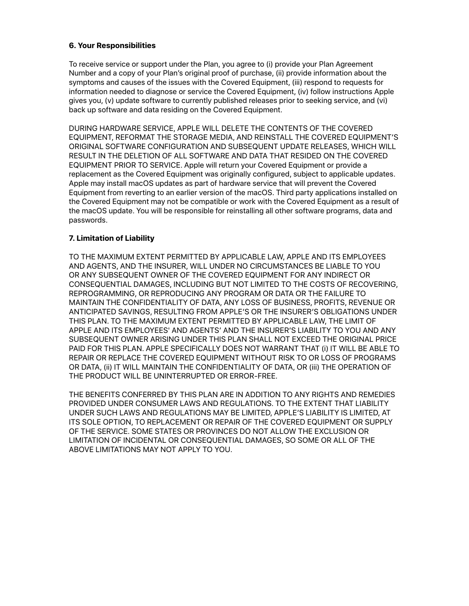# **6. Your Responsibilities**

To receive service or support under the Plan, you agree to (i) provide your Plan Agreement Number and a copy of your Plan's original proof of purchase, (ii) provide information about the symptoms and causes of the issues with the Covered Equipment, (iii) respond to requests for information needed to diagnose or service the Covered Equipment, (iv) follow instructions Apple gives you, (v) update software to currently published releases prior to seeking service, and (vi) back up software and data residing on the Covered Equipment.

DURING HARDWARE SERVICE, APPLE WILL DELETE THE CONTENTS OF THE COVERED EQUIPMENT, REFORMAT THE STORAGE MEDIA, AND REINSTALL THE COVERED EQUIPMENT'S ORIGINAL SOFTWARE CONFIGURATION AND SUBSEQUENT UPDATE RELEASES, WHICH WILL RESULT IN THE DELETION OF ALL SOFTWARE AND DATA THAT RESIDED ON THE COVERED EQUIPMENT PRIOR TO SERVICE. Apple will return your Covered Equipment or provide a replacement as the Covered Equipment was originally configured, subject to applicable updates. Apple may install macOS updates as part of hardware service that will prevent the Covered Equipment from reverting to an earlier version of the macOS. Third party applications installed on the Covered Equipment may not be compatible or work with the Covered Equipment as a result of the macOS update. You will be responsible for reinstalling all other software programs, data and passwords.

## **7. Limitation of Liability**

TO THE MAXIMUM EXTENT PERMITTED BY APPLICABLE LAW, APPLE AND ITS EMPLOYEES AND AGENTS, AND THE INSURER, WILL UNDER NO CIRCUMSTANCES BE LIABLE TO YOU OR ANY SUBSEQUENT OWNER OF THE COVERED EQUIPMENT FOR ANY INDIRECT OR CONSEQUENTIAL DAMAGES, INCLUDING BUT NOT LIMITED TO THE COSTS OF RECOVERING, REPROGRAMMING, OR REPRODUCING ANY PROGRAM OR DATA OR THE FAILURE TO MAINTAIN THE CONFIDENTIALITY OF DATA, ANY LOSS OF BUSINESS, PROFITS, REVENUE OR ANTICIPATED SAVINGS, RESULTING FROM APPLE'S OR THE INSURER'S OBLIGATIONS UNDER THIS PLAN. TO THE MAXIMUM EXTENT PERMITTED BY APPLICABLE LAW, THE LIMIT OF APPLE AND ITS EMPLOYEES' AND AGENTS' AND THE INSURER'S LIABILITY TO YOU AND ANY SUBSEQUENT OWNER ARISING UNDER THIS PLAN SHALL NOT EXCEED THE ORIGINAL PRICE PAID FOR THIS PLAN. APPLE SPECIFICALLY DOES NOT WARRANT THAT (i) IT WILL BE ABLE TO REPAIR OR REPLACE THE COVERED EQUIPMENT WITHOUT RISK TO OR LOSS OF PROGRAMS OR DATA, (ii) IT WILL MAINTAIN THE CONFIDENTIALITY OF DATA, OR (iii) THE OPERATION OF THE PRODUCT WILL BE UNINTERRUPTED OR ERROR-FREE.

THE BENEFITS CONFERRED BY THIS PLAN ARE IN ADDITION TO ANY RIGHTS AND REMEDIES PROVIDED UNDER CONSUMER LAWS AND REGULATIONS. TO THE EXTENT THAT LIABILITY UNDER SUCH LAWS AND REGULATIONS MAY BE LIMITED, APPLE'S LIABILITY IS LIMITED, AT ITS SOLE OPTION, TO REPLACEMENT OR REPAIR OF THE COVERED EQUIPMENT OR SUPPLY OF THE SERVICE. SOME STATES OR PROVINCES DO NOT ALLOW THE EXCLUSION OR LIMITATION OF INCIDENTAL OR CONSEQUENTIAL DAMAGES, SO SOME OR ALL OF THE ABOVE LIMITATIONS MAY NOT APPLY TO YOU.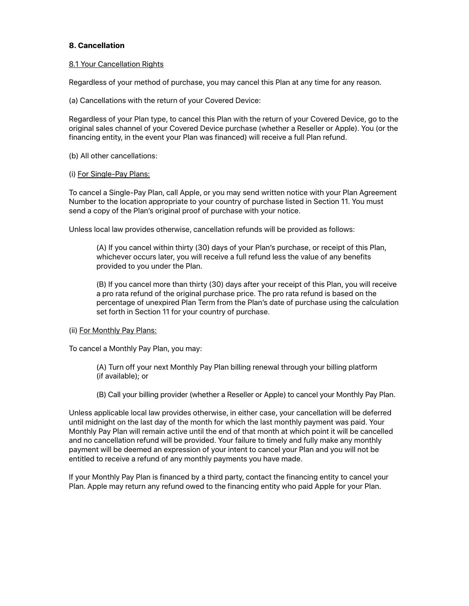# **8. Cancellation**

### 8.1 Your Cancellation Rights

Regardless of your method of purchase, you may cancel this Plan at any time for any reason.

(a) Cancellations with the return of your Covered Device:

Regardless of your Plan type, to cancel this Plan with the return of your Covered Device, go to the original sales channel of your Covered Device purchase (whether a Reseller or Apple). You (or the financing entity, in the event your Plan was financed) will receive a full Plan refund.

(b) All other cancellations:

#### (i) For Single-Pay Plans:

To cancel a Single-Pay Plan, call Apple, or you may send written notice with your Plan Agreement Number to the location appropriate to your country of purchase listed in Section 11. You must send a copy of the Plan's original proof of purchase with your notice.

Unless local law provides otherwise, cancellation refunds will be provided as follows:

(A) If you cancel within thirty (30) days of your Plan's purchase, or receipt of this Plan, whichever occurs later, you will receive a full refund less the value of any benefits provided to you under the Plan.

(B) If you cancel more than thirty (30) days after your receipt of this Plan, you will receive a pro rata refund of the original purchase price. The pro rata refund is based on the percentage of unexpired Plan Term from the Plan's date of purchase using the calculation set forth in Section 11 for your country of purchase.

### (ii) For Monthly Pay Plans:

To cancel a Monthly Pay Plan, you may:

(A) Turn off your next Monthly Pay Plan billing renewal through your billing platform (if available); or

(B) Call your billing provider (whether a Reseller or Apple) to cancel your Monthly Pay Plan.

Unless applicable local law provides otherwise, in either case, your cancellation will be deferred until midnight on the last day of the month for which the last monthly payment was paid. Your Monthly Pay Plan will remain active until the end of that month at which point it will be cancelled and no cancellation refund will be provided. Your failure to timely and fully make any monthly payment will be deemed an expression of your intent to cancel your Plan and you will not be entitled to receive a refund of any monthly payments you have made.

If your Monthly Pay Plan is financed by a third party, contact the financing entity to cancel your Plan. Apple may return any refund owed to the financing entity who paid Apple for your Plan.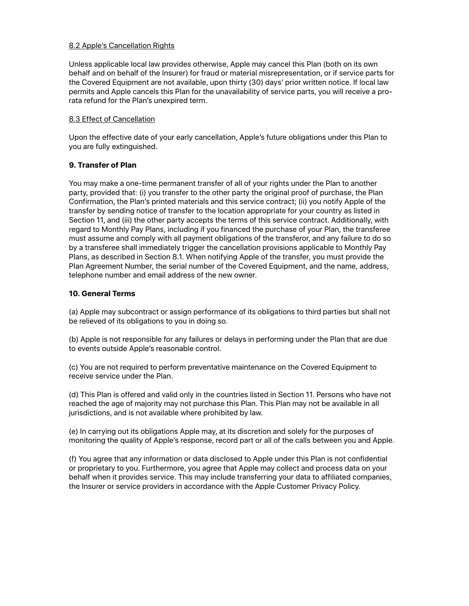## 8.2 Apple's Cancellation Rights

Unless applicable local law provides otherwise, Apple may cancel this Plan (both on its own behalf and on behalf of the Insurer) for fraud or material misrepresentation, or if service parts for the Covered Equipment are not available, upon thirty (30) days' prior written notice. If local law permits and Apple cancels this Plan for the unavailability of service parts, you will receive a prorata refund for the Plan's unexpired term.

## 8.3 Effect of Cancellation

Upon the effective date of your early cancellation, Apple's future obligations under this Plan to you are fully extinguished.

# **9. Transfer of Plan**

You may make a one-time permanent transfer of all of your rights under the Plan to another party, provided that: (i) you transfer to the other party the original proof of purchase, the Plan Confirmation, the Plan's printed materials and this service contract; (ii) you notify Apple of the transfer by sending notice of transfer to the location appropriate for your country as listed in Section 11, and (iii) the other party accepts the terms of this service contract. Additionally, with regard to Monthly Pay Plans, including if you financed the purchase of your Plan, the transferee must assume and comply with all payment obligations of the transferor, and any failure to do so by a transferee shall immediately trigger the cancellation provisions applicable to Monthly Pay Plans, as described in Section 8.1. When notifying Apple of the transfer, you must provide the Plan Agreement Number, the serial number of the Covered Equipment, and the name, address, telephone number and email address of the new owner.

## **10. General Terms**

(a) Apple may subcontract or assign performance of its obligations to third parties but shall not be relieved of its obligations to you in doing so.

(b) Apple is not responsible for any failures or delays in performing under the Plan that are due to events outside Apple's reasonable control.

(c) You are not required to perform preventative maintenance on the Covered Equipment to receive service under the Plan.

(d) This Plan is offered and valid only in the countries listed in Section 11. Persons who have not reached the age of majority may not purchase this Plan. This Plan may not be available in all jurisdictions, and is not available where prohibited by law.

(e) In carrying out its obligations Apple may, at its discretion and solely for the purposes of monitoring the quality of Apple's response, record part or all of the calls between you and Apple.

(f) You agree that any information or data disclosed to Apple under this Plan is not confidential or proprietary to you. Furthermore, you agree that Apple may collect and process data on your behalf when it provides service. This may include transferring your data to affiliated companies, the Insurer or service providers in accordance with the Apple Customer Privacy Policy.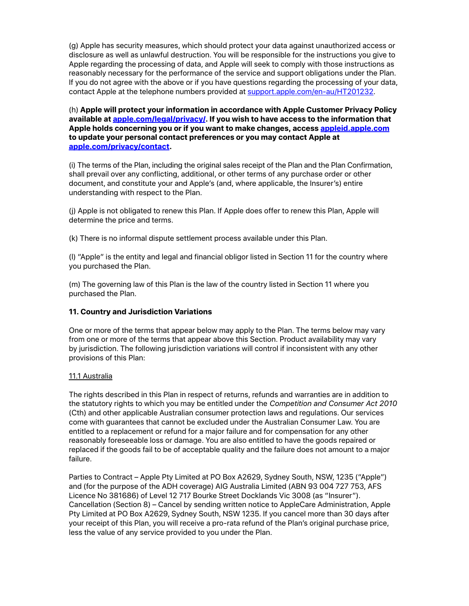(g) Apple has security measures, which should protect your data against unauthorized access or disclosure as well as unlawful destruction. You will be responsible for the instructions you give to Apple regarding the processing of data, and Apple will seek to comply with those instructions as reasonably necessary for the performance of the service and support obligations under the Plan. If you do not agree with the above or if you have questions regarding the processing of your data, contact Apple at the telephone numbers provided at [support.apple.com/en-au/HT201232.](http://support.apple.com/en-au/HT201232)

(h) **Apple will protect your information in accordance with Apple Customer Privacy Policy available at [apple.com/legal/privacy/](http://www.apple.com/legal/privacy/). If you wish to have access to the information that Apple holds concerning you or if you want to make changes, access [appleid.apple.com](https://appleid.apple.com/) to update your personal contact preferences or you may contact Apple at [apple.com/privacy/contact](http://www.apple.com/privacy/contact).**

(i) The terms of the Plan, including the original sales receipt of the Plan and the Plan Confirmation, shall prevail over any conflicting, additional, or other terms of any purchase order or other document, and constitute your and Apple's (and, where applicable, the Insurer's) entire understanding with respect to the Plan.

(j) Apple is not obligated to renew this Plan. If Apple does offer to renew this Plan, Apple will determine the price and terms.

(k) There is no informal dispute settlement process available under this Plan.

(l) "Apple" is the entity and legal and financial obligor listed in Section 11 for the country where you purchased the Plan.

(m) The governing law of this Plan is the law of the country listed in Section 11 where you purchased the Plan.

# **11. Country and Jurisdiction Variations**

One or more of the terms that appear below may apply to the Plan. The terms below may vary from one or more of the terms that appear above this Section. Product availability may vary by jurisdiction. The following jurisdiction variations will control if inconsistent with any other provisions of this Plan:

### 11.1 Australia

The rights described in this Plan in respect of returns, refunds and warranties are in addition to the statutory rights to which you may be entitled under the *Competition and Consumer Act 2010* (Cth) and other applicable Australian consumer protection laws and regulations. Our services come with guarantees that cannot be excluded under the Australian Consumer Law. You are entitled to a replacement or refund for a major failure and for compensation for any other reasonably foreseeable loss or damage. You are also entitled to have the goods repaired or replaced if the goods fail to be of acceptable quality and the failure does not amount to a major failure.

Parties to Contract – Apple Pty Limited at PO Box A2629, Sydney South, NSW, 1235 ("Apple") and (for the purpose of the ADH coverage) AIG Australia Limited (ABN 93 004 727 753, AFS Licence No 381686) of Level 12 717 Bourke Street Docklands Vic 3008 (as "Insurer"). Cancellation (Section 8) – Cancel by sending written notice to AppleCare Administration, Apple Pty Limited at PO Box A2629, Sydney South, NSW 1235. If you cancel more than 30 days after your receipt of this Plan, you will receive a pro-rata refund of the Plan's original purchase price, less the value of any service provided to you under the Plan.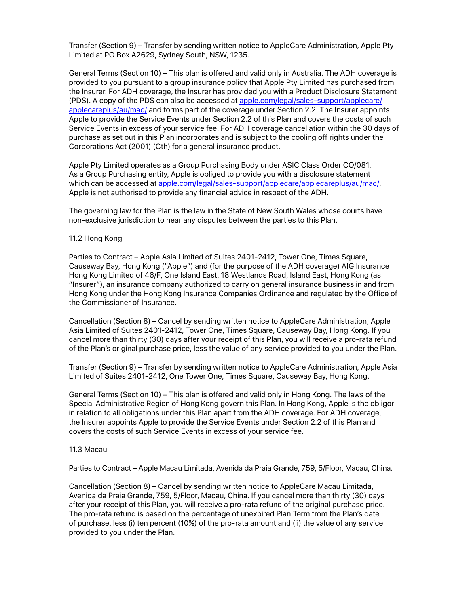Transfer (Section 9) – Transfer by sending written notice to AppleCare Administration, Apple Pty Limited at PO Box A2629, Sydney South, NSW, 1235.

General Terms (Section 10) – This plan is offered and valid only in Australia. The ADH coverage is provided to you pursuant to a group insurance policy that Apple Pty Limited has purchased from the Insurer. For ADH coverage, the Insurer has provided you with a Product Disclosure Statement (PDS). A copy of the PDS can also be accessed at [apple.com/legal/sales-support/applecare/](https://www.apple.com/legal/sales-support/applecare/applecareplus/au/mac/) [applecareplus/au/mac/](https://www.apple.com/legal/sales-support/applecare/applecareplus/au/mac/) and forms part of the coverage under Section 2.2. The Insurer appoints Apple to provide the Service Events under Section 2.2 of this Plan and covers the costs of such Service Events in excess of your service fee. For ADH coverage cancellation within the 30 days of purchase as set out in this Plan incorporates and is subject to the cooling off rights under the Corporations Act (2001) (Cth) for a general insurance product.

Apple Pty Limited operates as a Group Purchasing Body under ASIC Class Order CO/081. As a Group Purchasing entity, Apple is obliged to provide you with a disclosure statement which can be accessed at [apple.com/legal/sales-support/applecare/applecareplus/au/mac/](https://www.apple.com/legal/sales-support/applecare/applecareplus/au/mac/). Apple is not authorised to provide any financial advice in respect of the ADH.

The governing law for the Plan is the law in the State of New South Wales whose courts have non-exclusive jurisdiction to hear any disputes between the parties to this Plan.

#### 11.2 Hong Kong

Parties to Contract – Apple Asia Limited of Suites 2401-2412, Tower One, Times Square, Causeway Bay, Hong Kong ("Apple") and (for the purpose of the ADH coverage) AIG Insurance Hong Kong Limited of 46/F, One Island East, 18 Westlands Road, Island East, Hong Kong (as "Insurer"), an insurance company authorized to carry on general insurance business in and from Hong Kong under the Hong Kong Insurance Companies Ordinance and regulated by the Office of the Commissioner of Insurance.

Cancellation (Section 8) – Cancel by sending written notice to AppleCare Administration, Apple Asia Limited of Suites 2401-2412, Tower One, Times Square, Causeway Bay, Hong Kong. If you cancel more than thirty (30) days after your receipt of this Plan, you will receive a pro-rata refund of the Plan's original purchase price, less the value of any service provided to you under the Plan.

Transfer (Section 9) – Transfer by sending written notice to AppleCare Administration, Apple Asia Limited of Suites 2401-2412, One Tower One, Times Square, Causeway Bay, Hong Kong.

General Terms (Section 10) – This plan is offered and valid only in Hong Kong. The laws of the Special Administrative Region of Hong Kong govern this Plan. In Hong Kong, Apple is the obligor in relation to all obligations under this Plan apart from the ADH coverage. For ADH coverage, the Insurer appoints Apple to provide the Service Events under Section 2.2 of this Plan and covers the costs of such Service Events in excess of your service fee.

#### 11.3 Macau

Parties to Contract – Apple Macau Limitada, Avenida da Praia Grande, 759, 5/Floor, Macau, China.

Cancellation (Section 8) – Cancel by sending written notice to AppleCare Macau Limitada, Avenida da Praia Grande, 759, 5/Floor, Macau, China. If you cancel more than thirty (30) days after your receipt of this Plan, you will receive a pro-rata refund of the original purchase price. The pro-rata refund is based on the percentage of unexpired Plan Term from the Plan's date of purchase, less (i) ten percent (10%) of the pro-rata amount and (ii) the value of any service provided to you under the Plan.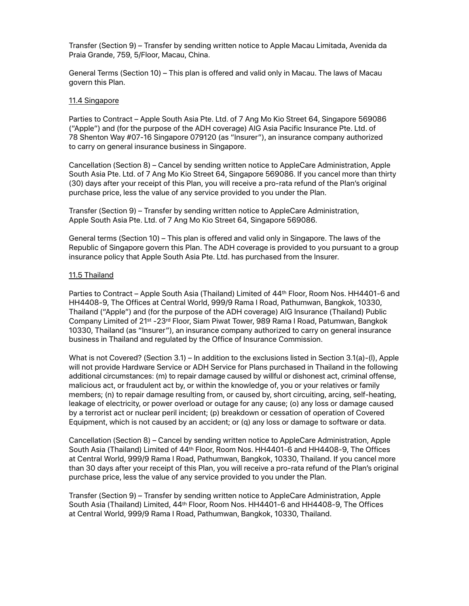Transfer (Section 9) – Transfer by sending written notice to Apple Macau Limitada, Avenida da Praia Grande, 759, 5/Floor, Macau, China.

General Terms (Section 10) – This plan is offered and valid only in Macau. The laws of Macau govern this Plan.

### 11.4 Singapore

Parties to Contract – Apple South Asia Pte. Ltd. of 7 Ang Mo Kio Street 64, Singapore 569086 ("Apple") and (for the purpose of the ADH coverage) AIG Asia Pacific Insurance Pte. Ltd. of 78 Shenton Way #07-16 Singapore 079120 (as "Insurer"), an insurance company authorized to carry on general insurance business in Singapore.

Cancellation (Section 8) – Cancel by sending written notice to AppleCare Administration, Apple South Asia Pte. Ltd. of 7 Ang Mo Kio Street 64, Singapore 569086. If you cancel more than thirty (30) days after your receipt of this Plan, you will receive a pro-rata refund of the Plan's original purchase price, less the value of any service provided to you under the Plan.

Transfer (Section 9) – Transfer by sending written notice to AppleCare Administration, Apple South Asia Pte. Ltd. of 7 Ang Mo Kio Street 64, Singapore 569086.

General terms (Section 10) – This plan is offered and valid only in Singapore. The laws of the Republic of Singapore govern this Plan. The ADH coverage is provided to you pursuant to a group insurance policy that Apple South Asia Pte. Ltd. has purchased from the Insurer.

### 11.5 Thailand

Parties to Contract – Apple South Asia (Thailand) Limited of 44th Floor, Room Nos. HH4401-6 and HH4408-9, The Offices at Central World, 999/9 Rama I Road, Pathumwan, Bangkok, 10330, Thailand ("Apple") and (for the purpose of the ADH coverage) AIG Insurance (Thailand) Public Company Limited of 21st -23rd Floor, Siam Piwat Tower, 989 Rama I Road, Patumwan, Bangkok 10330, Thailand (as "Insurer"), an insurance company authorized to carry on general insurance business in Thailand and regulated by the Office of Insurance Commission.

What is not Covered? (Section 3.1) – In addition to the exclusions listed in Section 3.1(a)-(I), Apple will not provide Hardware Service or ADH Service for Plans purchased in Thailand in the following additional circumstances: (m) to repair damage caused by willful or dishonest act, criminal offense, malicious act, or fraudulent act by, or within the knowledge of, you or your relatives or family members; (n) to repair damage resulting from, or caused by, short circuiting, arcing, self-heating, leakage of electricity, or power overload or outage for any cause; (o) any loss or damage caused by a terrorist act or nuclear peril incident; (p) breakdown or cessation of operation of Covered Equipment, which is not caused by an accident; or (q) any loss or damage to software or data.

Cancellation (Section 8) – Cancel by sending written notice to AppleCare Administration, Apple South Asia (Thailand) Limited of 44th Floor, Room Nos. HH4401-6 and HH4408-9, The Offices at Central World, 999/9 Rama I Road, Pathumwan, Bangkok, 10330, Thailand. If you cancel more than 30 days after your receipt of this Plan, you will receive a pro-rata refund of the Plan's original purchase price, less the value of any service provided to you under the Plan.

Transfer (Section 9) – Transfer by sending written notice to AppleCare Administration, Apple South Asia (Thailand) Limited, 44<sup>th</sup> Floor, Room Nos. HH4401-6 and HH4408-9, The Offices at Central World, 999/9 Rama I Road, Pathumwan, Bangkok, 10330, Thailand.